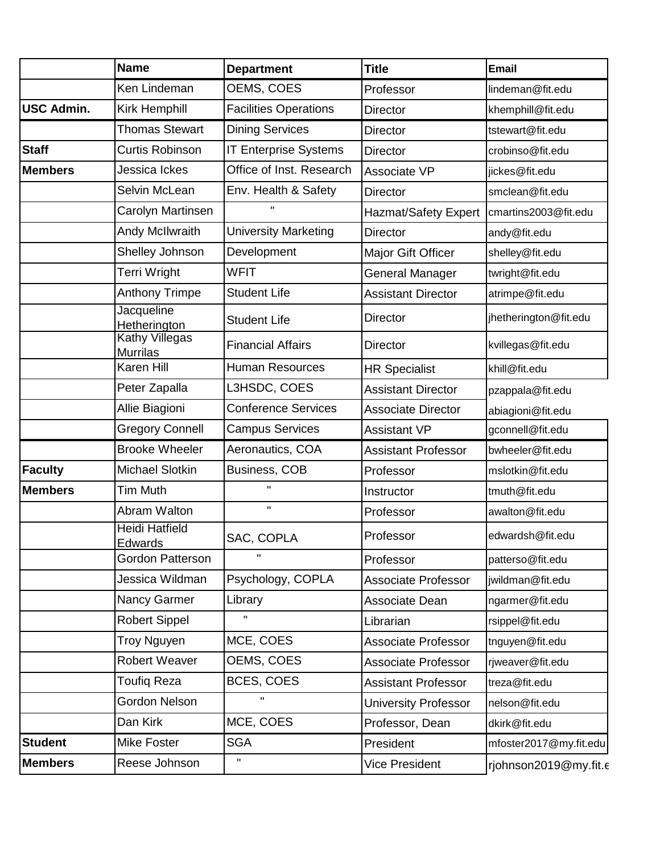|                   | <b>Name</b>                              | <b>Department</b>            | <b>Title</b>                | <b>Email</b>           |
|-------------------|------------------------------------------|------------------------------|-----------------------------|------------------------|
|                   | Ken Lindeman                             | OEMS, COES                   | Professor                   | lindeman@fit.edu       |
| <b>USC Admin.</b> | Kirk Hemphill                            | <b>Facilities Operations</b> | <b>Director</b>             | khemphill@fit.edu      |
|                   | <b>Thomas Stewart</b>                    | <b>Dining Services</b>       | <b>Director</b>             | tstewart@fit.edu       |
| <b>Staff</b>      | <b>Curtis Robinson</b>                   | <b>IT Enterprise Systems</b> | <b>Director</b>             | crobinso@fit.edu       |
| <b>Members</b>    | Jessica Ickes                            | Office of Inst. Research     | Associate VP                | jickes@fit.edu         |
|                   | Selvin McLean                            | Env. Health & Safety         | <b>Director</b>             | smclean@fit.edu        |
|                   | Carolyn Martinsen                        |                              | Hazmat/Safety Expert        | cmartins2003@fit.edu   |
|                   | Andy McIlwraith                          | <b>University Marketing</b>  | Director                    | andy@fit.edu           |
|                   | Shelley Johnson                          | Development                  | Major Gift Officer          | shelley@fit.edu        |
|                   | Terri Wright                             | <b>WFIT</b>                  | General Manager             | twright@fit.edu        |
|                   | <b>Anthony Trimpe</b>                    | <b>Student Life</b>          | <b>Assistant Director</b>   | atrimpe@fit.edu        |
|                   | Jacqueline<br>Hetherington               | <b>Student Life</b>          | <b>Director</b>             | jhetherington@fit.edu  |
|                   | <b>Kathy Villegas</b><br><b>Murrilas</b> | <b>Financial Affairs</b>     | <b>Director</b>             | kvillegas@fit.edu      |
|                   | Karen Hill                               | <b>Human Resources</b>       | <b>HR Specialist</b>        | khill@fit.edu          |
|                   | Peter Zapalla                            | L3HSDC, COES                 | <b>Assistant Director</b>   | pzappala@fit.edu       |
|                   | Allie Biagioni                           | <b>Conference Services</b>   | <b>Associate Director</b>   | abiagioni@fit.edu      |
|                   | <b>Gregory Connell</b>                   | <b>Campus Services</b>       | <b>Assistant VP</b>         | gconnell@fit.edu       |
|                   | <b>Brooke Wheeler</b>                    | Aeronautics, COA             | <b>Assistant Professor</b>  | bwheeler@fit.edu       |
| <b>Faculty</b>    | Michael Slotkin                          | <b>Business, COB</b>         | Professor                   | mslotkin@fit.edu       |
| <b>Members</b>    | Tim Muth                                 | $\mathbf{u}$                 | Instructor                  | tmuth@fit.edu          |
|                   | Abram Walton                             | H.                           | Professor                   | awalton@fit.edu        |
|                   | Heidi Hatfield<br>Edwards                | SAC, COPLA                   | Professor                   | edwardsh@fit.edu       |
|                   | Gordon Patterson                         | $\mathbf{H}$                 | Professor                   | patterso@fit.edu       |
|                   | Jessica Wildman                          | Psychology, COPLA            | <b>Associate Professor</b>  | jwildman@fit.edu       |
|                   | Nancy Garmer                             | Library                      | Associate Dean              | ngarmer@fit.edu        |
|                   | <b>Robert Sippel</b>                     | $\mathbf{H}$                 | Librarian                   | rsippel@fit.edu        |
|                   | Troy Nguyen                              | MCE, COES                    | <b>Associate Professor</b>  | tnguyen@fit.edu        |
|                   | Robert Weaver                            | OEMS, COES                   | <b>Associate Professor</b>  | rjweaver@fit.edu       |
|                   | <b>Toufiq Reza</b>                       | BCES, COES                   | <b>Assistant Professor</b>  | treza@fit.edu          |
|                   | Gordon Nelson                            | Π.                           | <b>University Professor</b> | nelson@fit.edu         |
|                   | Dan Kirk                                 | MCE, COES                    | Professor, Dean             | dkirk@fit.edu          |
| <b>Student</b>    | <b>Mike Foster</b>                       | <b>SGA</b>                   | President                   | mfoster2017@my.fit.edu |
| <b>Members</b>    | Reese Johnson                            | H                            | Vice President              | rjohnson2019@my.fit.c  |